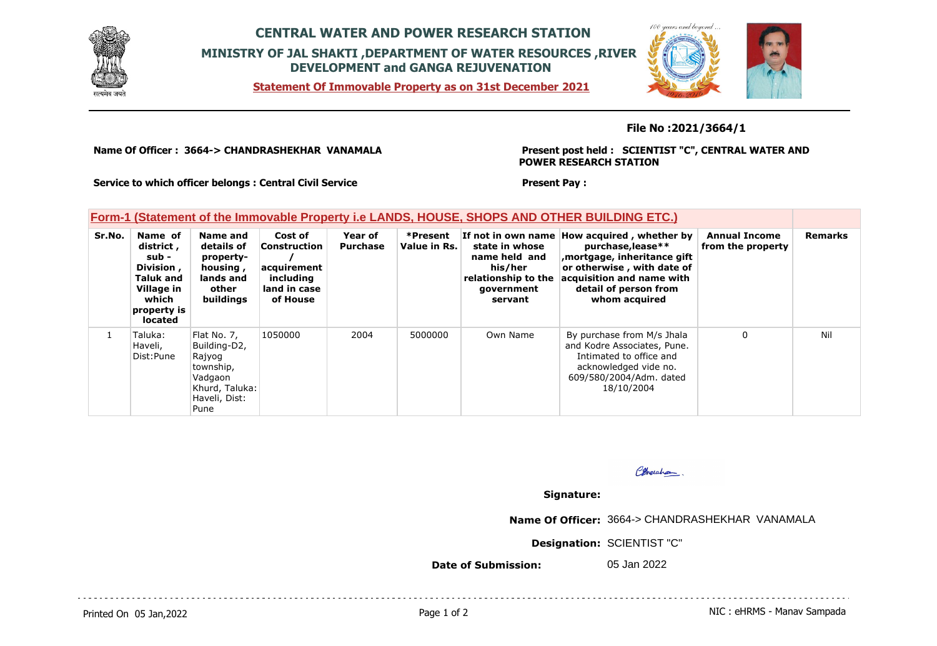

## **CENTRAL WATER AND POWER RESEARCH STATION MINISTRY OF JAL SHAKTI ,DEPARTMENT OF WATER RESOURCES ,RIVER DEVELOPMENT and GANGA REJUVENATION**

**Statement Of Immovable Property as on 31st December 2021**



## **File No :2021/3664/1**

**Name Of Officer : 3664-> CHANDRASHEKHAR VANAMALA** 

**Present post held : SCIENTIST "C", CENTRAL WATER AND POWER RESEARCH STATION**

**Service to which officer belongs : Central Civil Service**

## **Form-1 (Statement of the Immovable Property i.e LANDS, HOUSE, SHOPS AND OTHER BUILDING ETC.)**

| Sr.No. | Name of<br>district,<br>sub -<br>Division,<br><b>Taluk and</b><br>Village in<br>which<br>property is<br><b>located</b> | Name and<br>details of<br>property-<br>housing,<br>lands and<br>other<br>buildings                       | Cost of<br><b>Construction</b><br>acquirement<br>including<br>land in case<br>of House | Year of<br><b>Purchase</b> | *Present<br>Value in Rs. | state in whose<br>name held and<br>his/her<br>relationship to the<br>government<br>servant | If not in own name How acquired, whether by<br>purchase, lease**<br>mortgage, inheritance gift,<br>or otherwise, with date of<br>acquisition and name with<br>detail of person from<br>whom acquired | <b>Annual Income</b><br>from the property | <b>Remarks</b> |
|--------|------------------------------------------------------------------------------------------------------------------------|----------------------------------------------------------------------------------------------------------|----------------------------------------------------------------------------------------|----------------------------|--------------------------|--------------------------------------------------------------------------------------------|------------------------------------------------------------------------------------------------------------------------------------------------------------------------------------------------------|-------------------------------------------|----------------|
|        | Taluka:<br>Haveli,<br>Dist:Pune                                                                                        | Flat No. 7,<br>Building-D2,<br>Rajyog<br>township,<br>Vadgaon<br>Khurd, Taluka:<br>Haveli, Dist:<br>Pune | 1050000                                                                                | 2004                       | 5000000                  | Own Name                                                                                   | By purchase from M/s Jhala<br>and Kodre Associates, Pune.<br>Intimated to office and<br>acknowledged vide no.<br>609/580/2004/Adm. dated<br>18/10/2004                                               | 0                                         | Nil            |

Pherchan

## **Signature:**

**Present Pay :** 

**Name Of Officer:** 3664-> CHANDRASHEKHAR VANAMALA

**Designation:** SCIENTIST "C"

**Date of Submission:** 05 Jan 2022

Printed On 05 Jan, 2022 2001 12:00 Page 1 of 2 Page 1 of 2 NIC : eHRMS - Manav Sampada